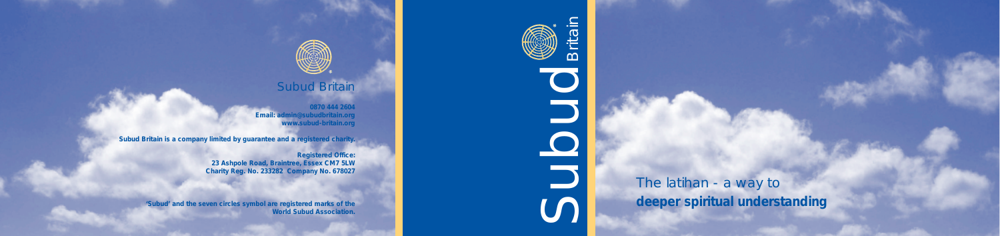



# **Subud Britain**

The latihan - a way to *deeper spiritual understanding*

**0870 444 2604 Email: admin@subudbritain.org www.subud-britain.org**

**Subud Britain is a company limited by guarantee and a registered charity.** 

**Registered Office: 23 Ashpole Road, Braintree, Essex CM7 5LW Charity Reg. No. 233282 Company No. 678027**

**'Subud' and the seven circles symbol are registered marks of the World Subud Association.**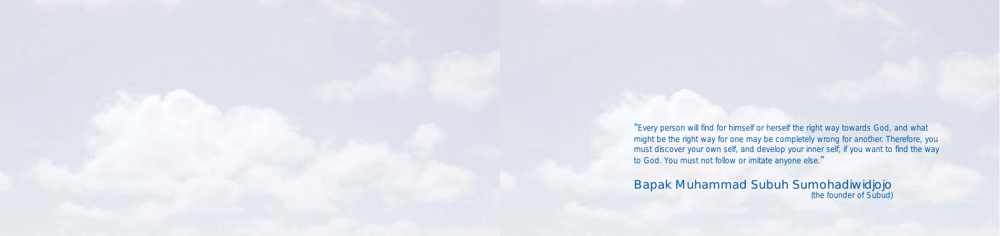"Every person will find for himself or herself the right way towards God, and what might be the right way for one may be completely wrong for another. Therefore, you must discover your own self, and develop your inner self, if you want to find the way to God. You must not follow or imitate anyone else."

Bapak Muhammad Subuh Sumohadiwidjojo (the founder of Subud)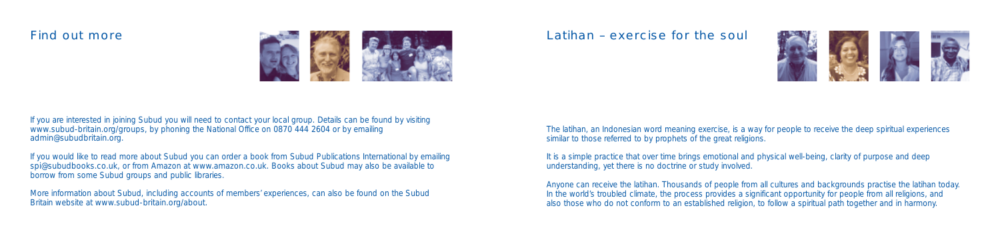#### Latihan – exercise for the soul

The latihan, an Indonesian word meaning exercise, is a way for people to receive the deep spiritual experiences similar to those referred to by prophets of the great religions.

It is a simple practice that over time brings emotional and physical well-being, clarity of purpose and deep understanding, yet there is no doctrine or study involved.

Anyone can receive the latihan. Thousands of people from all cultures and backgrounds practise the latihan today. In the world's troubled climate, the process provides a significant opportunity for people from all religions, and also those who do not conform to an established religion, to follow a spiritual path together and in harmony.



- 
- 
- 

### Find out more



If you are interested in joining Subud you will need to contact your local group. Details can be found by visiting www.subud-britain.org/groups, by phoning the National Office on 0870 444 2604 or by emailing admin@subudbritain.org.

If you would like to read more about Subud you can order a book from Subud Publications International by emailing spi@subudbooks.co.uk, or from Amazon at www.amazon.co.uk. Books about Subud may also be available to borrow from some Subud groups and public libraries.

More information about Subud, including accounts of members' experiences, can also be found on the Subud Britain website at www.subud-britain.org/about.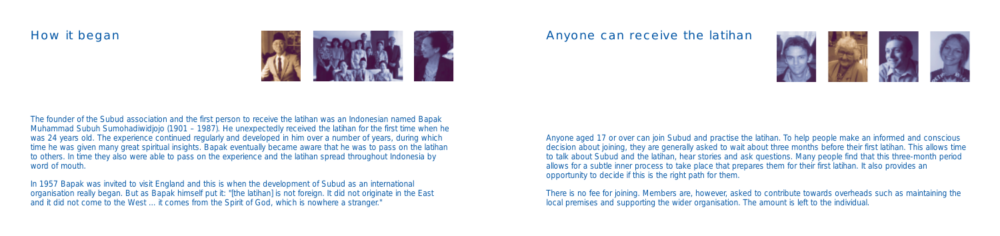#### Anyone can receive the latihan

Anyone aged 17 or over can join Subud and practise the latihan. To help people make an informed and conscious decision about joining, they are generally asked to wait about three months before their first latihan. This allows time to talk about Subud and the latihan, hear stories and ask questions. Many people find that this three-month period allows for a subtle inner process to take place that prepares them for their first latihan. It also provides an opportunity to decide if this is the right path for them.

The founder of the Subud association and the first person to receive the latihan was an Indonesian named Bapak Muhammad Subuh Sumohadiwidjojo (1901 – 1987). He unexpectedly received the latihan for the first time when he was 24 years old. The experience continued regularly and developed in him over a number of years, during which time he was given many great spiritual insights. Bapak eventually became aware that he was to pass on the latihan to others. In time they also were able to pass on the experience and the latihan spread throughout Indonesia by word of mouth

> There is no fee for joining. Members are, however, asked to contribute towards overheads such as maintaining the local premises and supporting the wider organisation. The amount is left to the individual.



## How it began



In 1957 Bapak was invited to visit England and this is when the development of Subud as an international organisation really began. But as Bapak himself put it: "[the latihan] is not foreign. It did not originate in the East and it did not come to the West ... it comes from the Spirit of God, which is nowhere a stranger."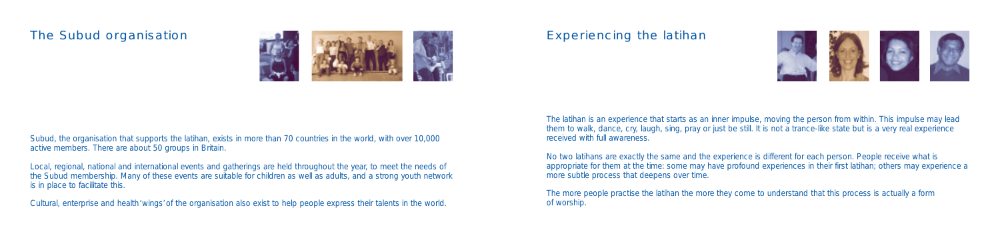## Experiencing the latihan

The latihan is an experience that starts as an inner impulse, moving the person from within. This impulse may lead them to walk, dance, cry, laugh, sing, pray or just be still. It is not a trance-like state but is a very real experience received with full awareness.

No two latihans are exactly the same and the experience is different for each person. People receive what is appropriate for them at the time: some may have profound experiences in their first latihan; others may experience a more subtle process that deepens over time.

The more people practise the latihan the more they come to understand that this process is actually a form of worship.



### The Subud organisation



Subud, the organisation that supports the latihan, exists in more than 70 countries in the world, with over 10,000 active members. There are about 50 groups in Britain.

Local, regional, national and international events and gatherings are held throughout the year, to meet the needs of the Subud membership. Many of these events are suitable for children as well as adults, and a strong youth network is in place to facilitate this.

Cultural, enterprise and health'wings'of the organisation also exist to help people express their talents in the world.